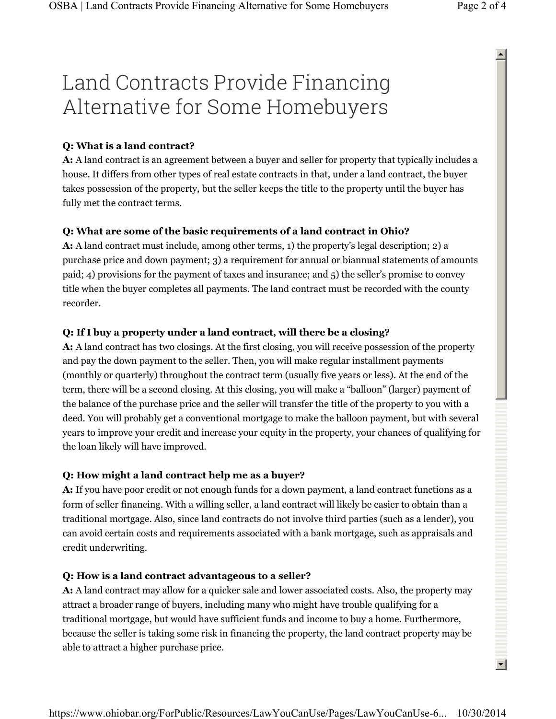# Land Contracts Provide Financing Alternative for Some Homebuyers

## **Q: What is a land contract?**

**A:** A land contract is an agreement between a buyer and seller for property that typically includes a house. It differs from other types of real estate contracts in that, under a land contract, the buyer takes possession of the property, but the seller keeps the title to the property until the buyer has fully met the contract terms.

## **Q: What are some of the basic requirements of a land contract in Ohio?**

**A:** A land contract must include, among other terms, 1) the property's legal description; 2) a purchase price and down payment; 3) a requirement for annual or biannual statements of amounts paid; 4) provisions for the payment of taxes and insurance; and 5) the seller's promise to convey title when the buyer completes all payments. The land contract must be recorded with the county recorder.

## **Q: If I buy a property under a land contract, will there be a closing?**

**A:** A land contract has two closings. At the first closing, you will receive possession of the property and pay the down payment to the seller. Then, you will make regular installment payments (monthly or quarterly) throughout the contract term (usually five years or less). At the end of the term, there will be a second closing. At this closing, you will make a "balloon" (larger) payment of the balance of the purchase price and the seller will transfer the title of the property to you with a deed. You will probably get a conventional mortgage to make the balloon payment, but with several years to improve your credit and increase your equity in the property, your chances of qualifying for the loan likely will have improved.

#### **Q: How might a land contract help me as a buyer?**

**A:** If you have poor credit or not enough funds for a down payment, a land contract functions as a form of seller financing. With a willing seller, a land contract will likely be easier to obtain than a traditional mortgage. Also, since land contracts do not involve third parties (such as a lender), you can avoid certain costs and requirements associated with a bank mortgage, such as appraisals and credit underwriting.

#### **Q: How is a land contract advantageous to a seller?**

**A:** A land contract may allow for a quicker sale and lower associated costs. Also, the property may attract a broader range of buyers, including many who might have trouble qualifying for a traditional mortgage, but would have sufficient funds and income to buy a home. Furthermore, because the seller is taking some risk in financing the property, the land contract property may be able to attract a higher purchase price.

 $\blacktriangle$